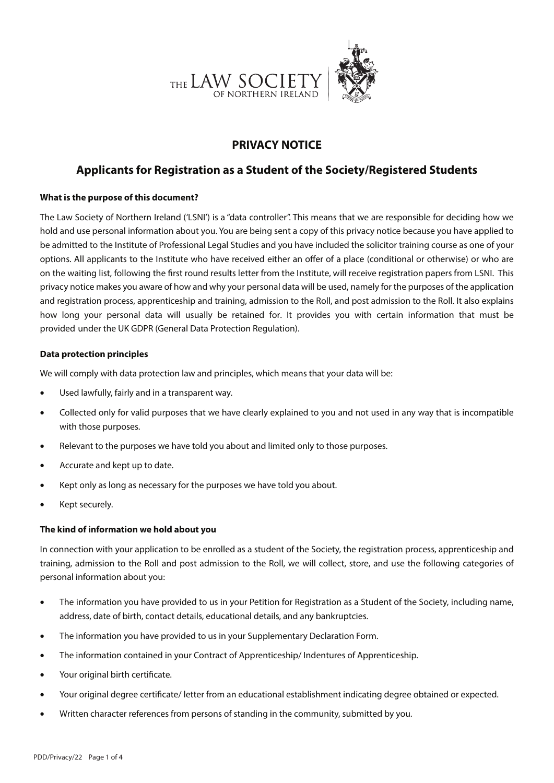

# **PRIVACY NOTICE**

# **Applicants for Registration as a Student of the Society/Registered Students**

# **What is the purpose of this document?**

The Law Society of Northern Ireland ('LSNI') is a "data controller". This means that we are responsible for deciding how we hold and use personal information about you. You are being sent a copy of this privacy notice because you have applied to be admitted to the Institute of Professional Legal Studies and you have included the solicitor training course as one of your options. All applicants to the Institute who have received either an offer of a place (conditional or otherwise) or who are on the waiting list, following the first round results letter from the Institute, will receive registration papers from LSNI. This privacy notice makes you aware of how and why your personal data will be used, namely for the purposes of the application and registration process, apprenticeship and training, admission to the Roll, and post admission to the Roll. It also explains how long your personal data will usually be retained for. It provides you with certain information that must be provided under the UK GDPR (General Data Protection Regulation).

# **Data protection principles**

We will comply with data protection law and principles, which means that your data will be:

- Used lawfully, fairly and in a transparent way.
- Collected only for valid purposes that we have clearly explained to you and not used in any way that is incompatible with those purposes.
- Relevant to the purposes we have told you about and limited only to those purposes.
- Accurate and kept up to date.
- Kept only as long as necessary for the purposes we have told you about.
- Kept securely.

# **The kind of information we hold about you**

In connection with your application to be enrolled as a student of the Society, the registration process, apprenticeship and training, admission to the Roll and post admission to the Roll, we will collect, store, and use the following categories of personal information about you:

- The information you have provided to us in your Petition for Registration as a Student of the Society, including name, address, date of birth, contact details, educational details, and any bankruptcies.
- The information you have provided to us in your Supplementary Declaration Form.
- The information contained in your Contract of Apprenticeship/ Indentures of Apprenticeship.
- Your original birth certificate.
- Your original degree certificate/ letter from an educational establishment indicating degree obtained or expected.
- Written character references from persons of standing in the community, submitted by you.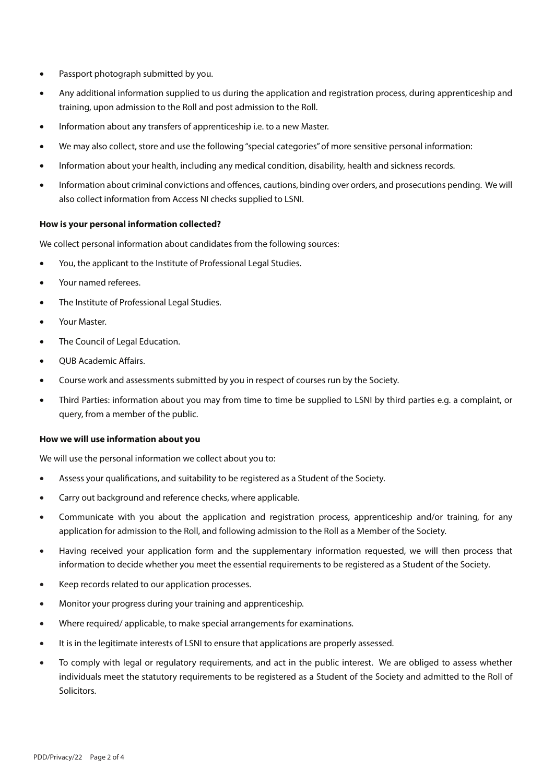- Passport photograph submitted by you.
- Any additional information supplied to us during the application and registration process, during apprenticeship and training, upon admission to the Roll and post admission to the Roll.
- Information about any transfers of apprenticeship i.e. to a new Master.
- We may also collect, store and use the following "special categories" of more sensitive personal information:
- Information about your health, including any medical condition, disability, health and sickness records.
- Information about criminal convictions and offences, cautions, binding over orders, and prosecutions pending. We will also collect information from Access NI checks supplied to LSNI.

### **How is your personal information collected?**

We collect personal information about candidates from the following sources:

- You, the applicant to the Institute of Professional Legal Studies.
- Your named referees.
- The Institute of Professional Legal Studies.
- Your Master.
- The Council of Legal Education.
- QUB Academic Affairs.
- Course work and assessments submitted by you in respect of courses run by the Society.
- Third Parties: information about you may from time to time be supplied to LSNI by third parties e.g. a complaint, or query, from a member of the public.

### **How we will use information about you**

We will use the personal information we collect about you to:

- Assess your qualifications, and suitability to be registered as a Student of the Society.
- Carry out background and reference checks, where applicable.
- Communicate with you about the application and registration process, apprenticeship and/or training, for any application for admission to the Roll, and following admission to the Roll as a Member of the Society.
- Having received your application form and the supplementary information requested, we will then process that information to decide whether you meet the essential requirements to be registered as a Student of the Society.
- Keep records related to our application processes.
- Monitor your progress during your training and apprenticeship.
- Where required/ applicable, to make special arrangements for examinations.
- It is in the legitimate interests of LSNI to ensure that applications are properly assessed.
- To comply with legal or regulatory requirements, and act in the public interest. We are obliged to assess whether individuals meet the statutory requirements to be registered as a Student of the Society and admitted to the Roll of Solicitors.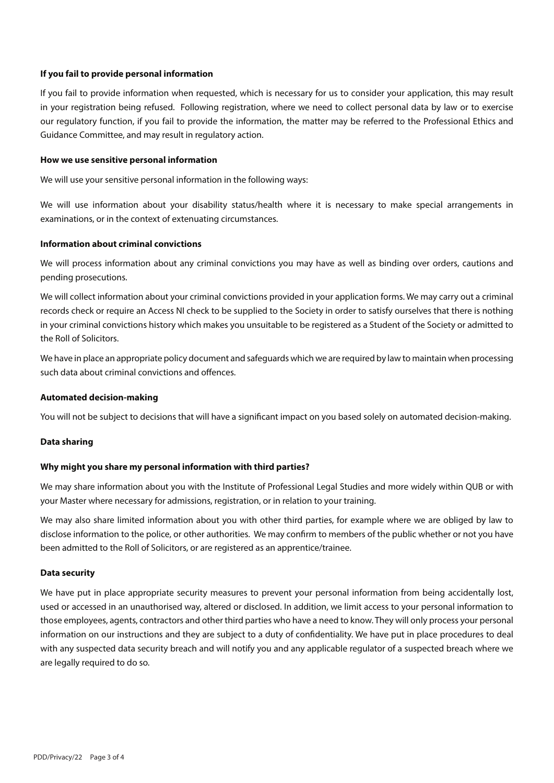## **If you fail to provide personal information**

If you fail to provide information when requested, which is necessary for us to consider your application, this may result in your registration being refused. Following registration, where we need to collect personal data by law or to exercise our regulatory function, if you fail to provide the information, the matter may be referred to the Professional Ethics and Guidance Committee, and may result in regulatory action.

### **How we use sensitive personal information**

We will use your sensitive personal information in the following ways:

We will use information about your disability status/health where it is necessary to make special arrangements in examinations, or in the context of extenuating circumstances.

### **Information about criminal convictions**

We will process information about any criminal convictions you may have as well as binding over orders, cautions and pending prosecutions.

We will collect information about your criminal convictions provided in your application forms. We may carry out a criminal records check or require an Access NI check to be supplied to the Society in order to satisfy ourselves that there is nothing in your criminal convictions history which makes you unsuitable to be registered as a Student of the Society or admitted to the Roll of Solicitors.

We have in place an appropriate policy document and safeguards which we are required by law to maintain when processing such data about criminal convictions and offences.

### **Automated decision-making**

You will not be subject to decisions that will have a significant impact on you based solely on automated decision-making.

## **Data sharing**

### **Why might you share my personal information with third parties?**

We may share information about you with the Institute of Professional Legal Studies and more widely within QUB or with your Master where necessary for admissions, registration, or in relation to your training.

We may also share limited information about you with other third parties, for example where we are obliged by law to disclose information to the police, or other authorities. We may confirm to members of the public whether or not you have been admitted to the Roll of Solicitors, or are registered as an apprentice/trainee.

### **Data security**

We have put in place appropriate security measures to prevent your personal information from being accidentally lost, used or accessed in an unauthorised way, altered or disclosed. In addition, we limit access to your personal information to those employees, agents, contractors and other third parties who have a need to know. They will only process your personal information on our instructions and they are subject to a duty of confidentiality. We have put in place procedures to deal with any suspected data security breach and will notify you and any applicable regulator of a suspected breach where we are legally required to do so.